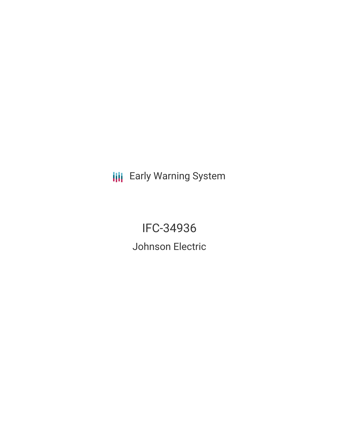**III** Early Warning System

IFC-34936 Johnson Electric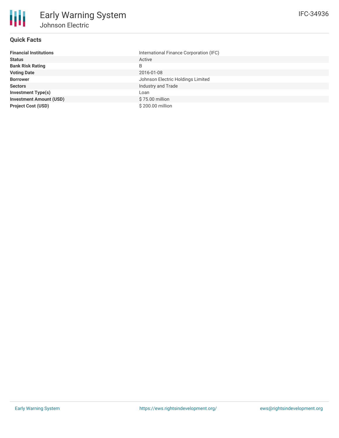

# **Quick Facts**

| <b>Financial Institutions</b>  | International Finance Corporation (IFC) |
|--------------------------------|-----------------------------------------|
| <b>Status</b>                  | Active                                  |
| <b>Bank Risk Rating</b>        | B                                       |
| <b>Voting Date</b>             | 2016-01-08                              |
| <b>Borrower</b>                | Johnson Electric Holdings Limited       |
| <b>Sectors</b>                 | Industry and Trade                      |
| <b>Investment Type(s)</b>      | Loan                                    |
| <b>Investment Amount (USD)</b> | \$75.00 million                         |
| <b>Project Cost (USD)</b>      | \$200.00 million                        |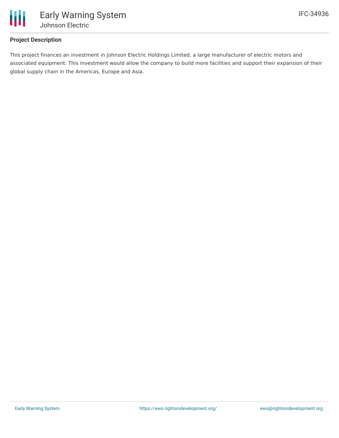

# **Project Description**

This project finances an investment in Johnson Electric Holdings Limited, a large manufacturer of electric motors and associated equipment. This investment would allow the company to build more facilities and support their expansion of their global supply chain in the Americas, Europe and Asia.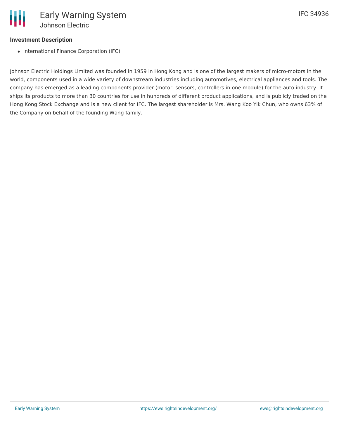### **Investment Description**

• International Finance Corporation (IFC)

Johnson Electric Holdings Limited was founded in 1959 in Hong Kong and is one of the largest makers of micro-motors in the world, components used in a wide variety of downstream industries including automotives, electrical appliances and tools. The company has emerged as a leading components provider (motor, sensors, controllers in one module) for the auto industry. It ships its products to more than 30 countries for use in hundreds of different product applications, and is publicly traded on the Hong Kong Stock Exchange and is a new client for IFC. The largest shareholder is Mrs. Wang Koo Yik Chun, who owns 63% of the Company on behalf of the founding Wang family.